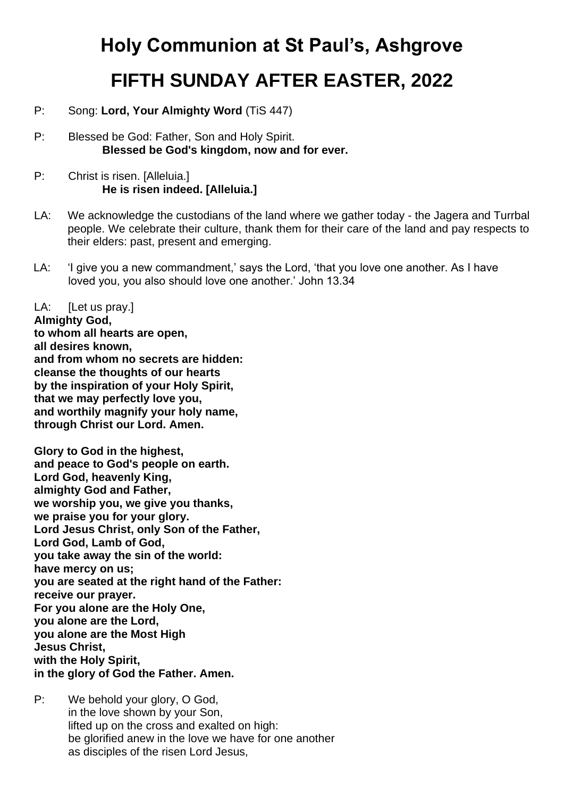# **Holy Communion at St Paul's, Ashgrove FIFTH SUNDAY AFTER EASTER, 2022**

- P: Song: **Lord, Your Almighty Word** (TiS 447)
- P: Blessed be God: Father, Son and Holy Spirit. **Blessed be God's kingdom, now and for ever.**
- P: Christ is risen. [Alleluia.] **He is risen indeed. [Alleluia.]**
- LA: We acknowledge the custodians of the land where we gather today the Jagera and Turrbal people. We celebrate their culture, thank them for their care of the land and pay respects to their elders: past, present and emerging.
- LA: 'I give you a new commandment,' says the Lord, 'that you love one another. As I have loved you, you also should love one another.' John 13.34

LA: [Let us pray.]

**Almighty God, to whom all hearts are open, all desires known, and from whom no secrets are hidden: cleanse the thoughts of our hearts by the inspiration of your Holy Spirit, that we may perfectly love you, and worthily magnify your holy name, through Christ our Lord. Amen.** 

**Glory to God in the highest, and peace to God's people on earth. Lord God, heavenly King, almighty God and Father, we worship you, we give you thanks, we praise you for your glory. Lord Jesus Christ, only Son of the Father, Lord God, Lamb of God, you take away the sin of the world: have mercy on us; you are seated at the right hand of the Father: receive our prayer. For you alone are the Holy One, you alone are the Lord, you alone are the Most High Jesus Christ, with the Holy Spirit, in the glory of God the Father. Amen.** 

P: We behold your glory, O God, in the love shown by your Son, lifted up on the cross and exalted on high: be glorified anew in the love we have for one another as disciples of the risen Lord Jesus,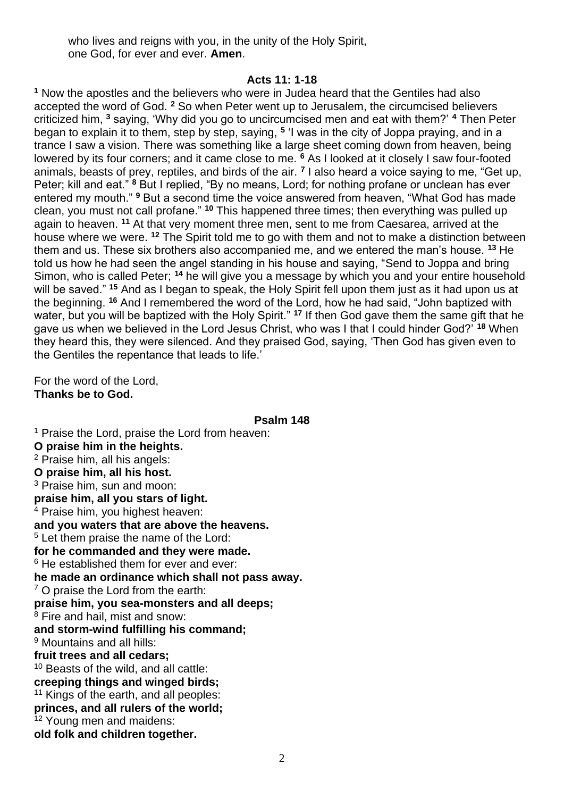who lives and reigns with you, in the unity of the Holy Spirit, one God, for ever and ever. **Amen**.

#### **Acts 11: 1-18**

**<sup>1</sup>** Now the apostles and the believers who were in Judea heard that the Gentiles had also accepted the word of God. **<sup>2</sup>** So when Peter went up to Jerusalem, the circumcised believers criticized him, **<sup>3</sup>** saying, 'Why did you go to uncircumcised men and eat with them?' **<sup>4</sup>** Then Peter began to explain it to them, step by step, saying, **<sup>5</sup>** 'I was in the city of Joppa praying, and in a trance I saw a vision. There was something like a large sheet coming down from heaven, being lowered by its four corners; and it came close to me. **<sup>6</sup>** As I looked at it closely I saw four-footed animals, beasts of prey, reptiles, and birds of the air. **<sup>7</sup>** I also heard a voice saying to me, "Get up, Peter; kill and eat." **<sup>8</sup>** But I replied, "By no means, Lord; for nothing profane or unclean has ever entered my mouth." **<sup>9</sup>** But a second time the voice answered from heaven, "What God has made clean, you must not call profane." **<sup>10</sup>** This happened three times; then everything was pulled up again to heaven. **<sup>11</sup>** At that very moment three men, sent to me from Caesarea, arrived at the house where we were. **<sup>12</sup>** The Spirit told me to go with them and not to make a distinction between them and us. These six brothers also accompanied me, and we entered the man's house. **<sup>13</sup>** He told us how he had seen the angel standing in his house and saying, "Send to Joppa and bring Simon, who is called Peter; **<sup>14</sup>** he will give you a message by which you and your entire household will be saved." **<sup>15</sup>** And as I began to speak, the Holy Spirit fell upon them just as it had upon us at the beginning. **<sup>16</sup>** And I remembered the word of the Lord, how he had said, "John baptized with water, but you will be baptized with the Holy Spirit." **<sup>17</sup>** If then God gave them the same gift that he gave us when we believed in the Lord Jesus Christ, who was I that I could hinder God?' **<sup>18</sup>** When they heard this, they were silenced. And they praised God, saying, 'Then God has given even to the Gentiles the repentance that leads to life.'

For the word of the Lord, **Thanks be to God.** 

**Psalm 148**

<sup>1</sup> Praise the Lord, praise the Lord from heaven: **O praise him in the heights.** <sup>2</sup> Praise him, all his angels: **O praise him, all his host.** <sup>3</sup> Praise him, sun and moon: **praise him, all you stars of light.** <sup>4</sup> Praise him, you highest heaven: **and you waters that are above the heavens.** <sup>5</sup> Let them praise the name of the Lord: **for he commanded and they were made.** <sup>6</sup> He established them for ever and ever: **he made an ordinance which shall not pass away.** <sup>7</sup> O praise the Lord from the earth: **praise him, you sea-monsters and all deeps;** <sup>8</sup> Fire and hail, mist and snow: **and storm-wind fulfilling his command;** <sup>9</sup> Mountains and all hills: **fruit trees and all cedars;** <sup>10</sup> Beasts of the wild, and all cattle: **creeping things and winged birds;** <sup>11</sup> Kings of the earth, and all peoples: **princes, and all rulers of the world;** <sup>12</sup> Young men and maidens: **old folk and children together.**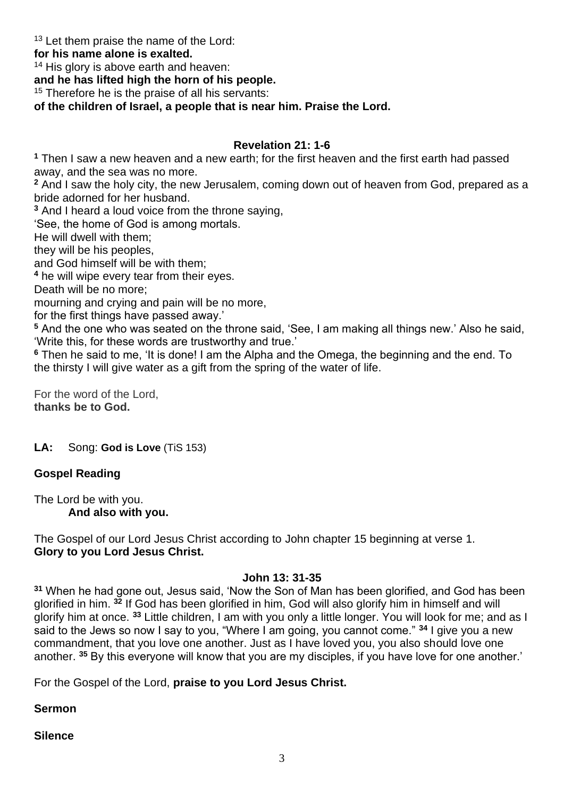<sup>13</sup> Let them praise the name of the Lord:

## **for his name alone is exalted.**

<sup>14</sup> His glory is above earth and heaven:

**and he has lifted high the horn of his people.**

<sup>15</sup> Therefore he is the praise of all his servants:

**of the children of Israel, a people that is near him. Praise the Lord.**

# **Revelation 21: 1-6**

**<sup>1</sup>** Then I saw a new heaven and a new earth; for the first heaven and the first earth had passed away, and the sea was no more.

**<sup>2</sup>** And I saw the holy city, the new Jerusalem, coming down out of heaven from God, prepared as a bride adorned for her husband.

**<sup>3</sup>** And I heard a loud voice from the throne saying,

'See, the home of God is among mortals.

He will dwell with them;

they will be his peoples,

and God himself will be with them;

**<sup>4</sup>** he will wipe every tear from their eyes.

Death will be no more;

mourning and crying and pain will be no more,

for the first things have passed away.'

**<sup>5</sup>** And the one who was seated on the throne said, 'See, I am making all things new.' Also he said, 'Write this, for these words are trustworthy and true.'

**<sup>6</sup>** Then he said to me, 'It is done! I am the Alpha and the Omega, the beginning and the end. To the thirsty I will give water as a gift from the spring of the water of life.

For the word of the Lord, **thanks be to God.**

**LA:** Song: **God is Love** (TiS 153)

# **Gospel Reading**

The Lord be with you. **And also with you.** 

The Gospel of our Lord Jesus Christ according to John chapter 15 beginning at verse 1. **Glory to you Lord Jesus Christ.** 

#### **John 13: 31-35**

**<sup>31</sup>** When he had gone out, Jesus said, 'Now the Son of Man has been glorified, and God has been glorified in him. **<sup>32</sup>** If God has been glorified in him, God will also glorify him in himself and will glorify him at once. **<sup>33</sup>** Little children, I am with you only a little longer. You will look for me; and as I said to the Jews so now I say to you, "Where I am going, you cannot come." **<sup>34</sup>** I give you a new commandment, that you love one another. Just as I have loved you, you also should love one another. **<sup>35</sup>** By this everyone will know that you are my disciples, if you have love for one another.'

For the Gospel of the Lord, **praise to you Lord Jesus Christ.** 

# **Sermon**

# **Silence**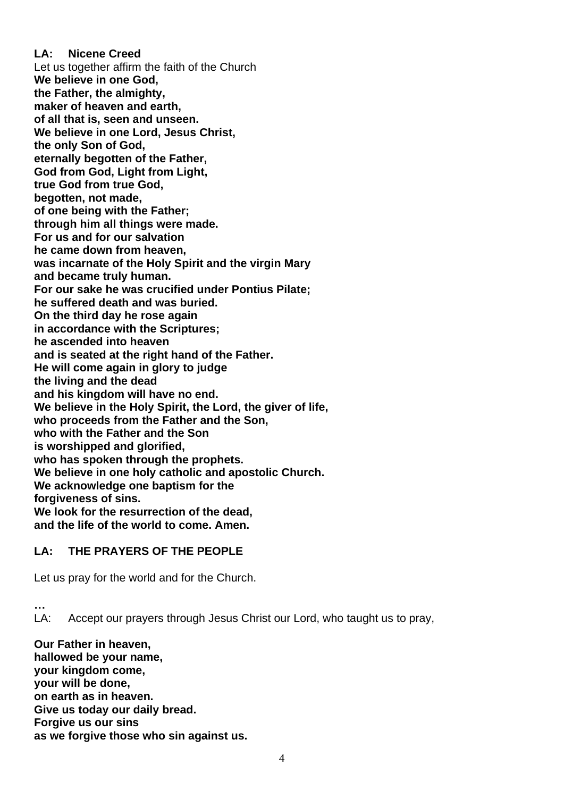**LA: Nicene Creed** Let us together affirm the faith of the Church **We believe in one God, the Father, the almighty, maker of heaven and earth, of all that is, seen and unseen. We believe in one Lord, Jesus Christ, the only Son of God, eternally begotten of the Father, God from God, Light from Light, true God from true God, begotten, not made, of one being with the Father; through him all things were made. For us and for our salvation he came down from heaven, was incarnate of the Holy Spirit and the virgin Mary and became truly human. For our sake he was crucified under Pontius Pilate; he suffered death and was buried. On the third day he rose again in accordance with the Scriptures; he ascended into heaven and is seated at the right hand of the Father. He will come again in glory to judge the living and the dead and his kingdom will have no end. We believe in the Holy Spirit, the Lord, the giver of life, who proceeds from the Father and the Son, who with the Father and the Son is worshipped and glorified, who has spoken through the prophets. We believe in one holy catholic and apostolic Church. We acknowledge one baptism for the forgiveness of sins. We look for the resurrection of the dead, and the life of the world to come. Amen.** 

# **LA: THE PRAYERS OF THE PEOPLE**

Let us pray for the world and for the Church.

**…** LA: Accept our prayers through Jesus Christ our Lord, who taught us to pray,

**Our Father in heaven, hallowed be your name, your kingdom come, your will be done, on earth as in heaven. Give us today our daily bread. Forgive us our sins as we forgive those who sin against us.**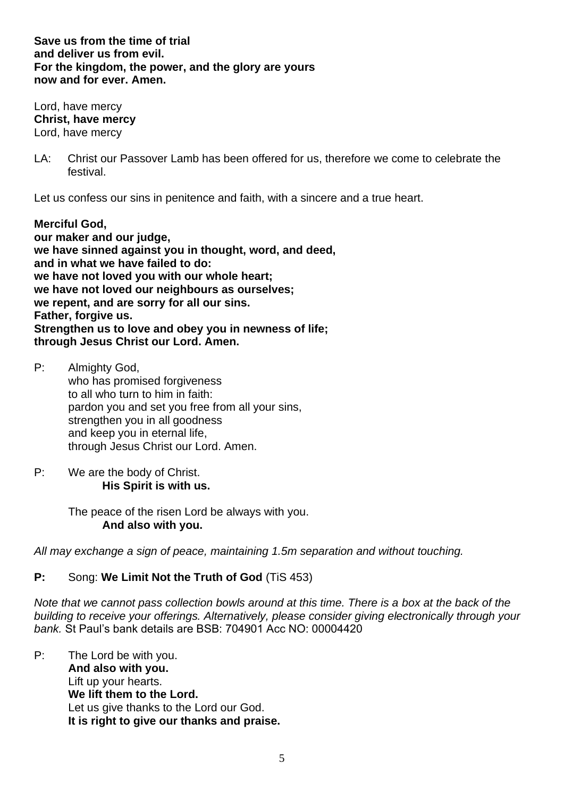**Save us from the time of trial and deliver us from evil. For the kingdom, the power, and the glory are yours now and for ever. Amen.** 

Lord, have mercy **Christ, have mercy** Lord, have mercy

LA: Christ our Passover Lamb has been offered for us, therefore we come to celebrate the festival.

Let us confess our sins in penitence and faith, with a sincere and a true heart.

**Merciful God, our maker and our judge, we have sinned against you in thought, word, and deed, and in what we have failed to do: we have not loved you with our whole heart; we have not loved our neighbours as ourselves; we repent, and are sorry for all our sins. Father, forgive us. Strengthen us to love and obey you in newness of life; through Jesus Christ our Lord. Amen.** 

- P: Almighty God, who has promised forgiveness to all who turn to him in faith: pardon you and set you free from all your sins, strengthen you in all goodness and keep you in eternal life, through Jesus Christ our Lord. Amen.
- P: We are the body of Christ. **His Spirit is with us.**

The peace of the risen Lord be always with you. **And also with you.** 

*All may exchange a sign of peace, maintaining 1.5m separation and without touching.*

# **P:** Song: **We Limit Not the Truth of God** (TiS 453)

*Note that we cannot pass collection bowls around at this time. There is a box at the back of the building to receive your offerings. Alternatively, please consider giving electronically through your bank.* St Paul's bank details are BSB: 704901 Acc NO: 00004420

P: The Lord be with you. **And also with you.**  Lift up your hearts. **We lift them to the Lord.**  Let us give thanks to the Lord our God. **It is right to give our thanks and praise.**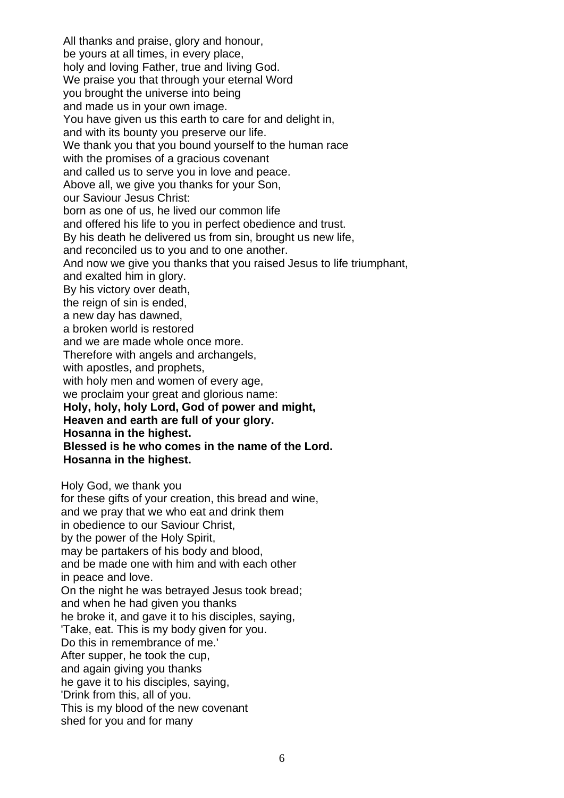All thanks and praise, glory and honour, be yours at all times, in every place, holy and loving Father, true and living God. We praise you that through your eternal Word you brought the universe into being and made us in your own image. You have given us this earth to care for and delight in, and with its bounty you preserve our life. We thank you that you bound yourself to the human race with the promises of a gracious covenant and called us to serve you in love and peace. Above all, we give you thanks for your Son, our Saviour Jesus Christ: born as one of us, he lived our common life and offered his life to you in perfect obedience and trust. By his death he delivered us from sin, brought us new life, and reconciled us to you and to one another. And now we give you thanks that you raised Jesus to life triumphant, and exalted him in glory. By his victory over death, the reign of sin is ended. a new day has dawned, a broken world is restored and we are made whole once more. Therefore with angels and archangels, with apostles, and prophets, with holy men and women of every age, we proclaim your great and glorious name: **Holy, holy, holy Lord, God of power and might, Heaven and earth are full of your glory. Hosanna in the highest. Blessed is he who comes in the name of the Lord. Hosanna in the highest.**  Holy God, we thank you for these gifts of your creation, this bread and wine, and we pray that we who eat and drink them in obedience to our Saviour Christ,

by the power of the Holy Spirit, may be partakers of his body and blood, and be made one with him and with each other in peace and love. On the night he was betrayed Jesus took bread; and when he had given you thanks he broke it, and gave it to his disciples, saying, 'Take, eat. This is my body given for you. Do this in remembrance of me.' After supper, he took the cup, and again giving you thanks he gave it to his disciples, saying, 'Drink from this, all of you. This is my blood of the new covenant shed for you and for many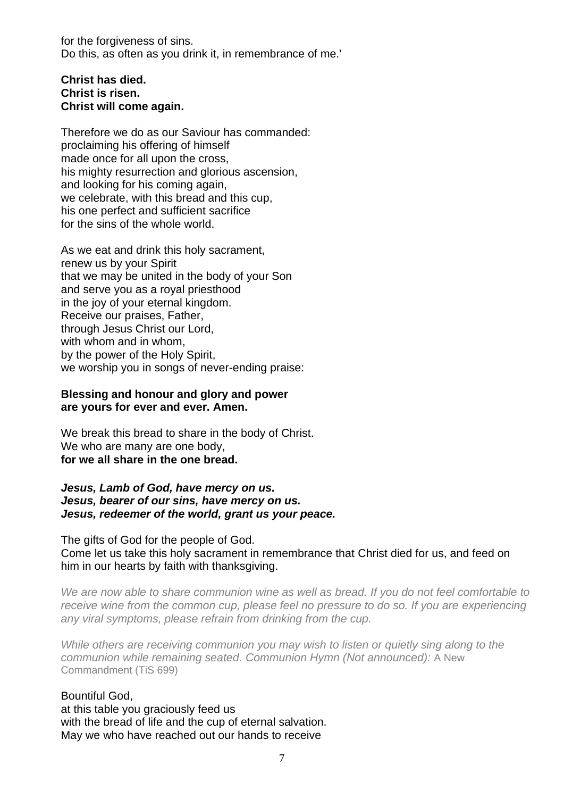for the forgiveness of sins. Do this, as often as you drink it, in remembrance of me.'

## **Christ has died. Christ is risen. Christ will come again.**

Therefore we do as our Saviour has commanded: proclaiming his offering of himself made once for all upon the cross, his mighty resurrection and glorious ascension, and looking for his coming again, we celebrate, with this bread and this cup, his one perfect and sufficient sacrifice for the sins of the whole world.

As we eat and drink this holy sacrament, renew us by your Spirit that we may be united in the body of your Son and serve you as a royal priesthood in the joy of your eternal kingdom. Receive our praises, Father, through Jesus Christ our Lord, with whom and in whom, by the power of the Holy Spirit, we worship you in songs of never-ending praise:

### **Blessing and honour and glory and power are yours for ever and ever. Amen.**

We break this bread to share in the body of Christ. We who are many are one body, **for we all share in the one bread.** 

*Jesus, Lamb of God, have mercy on us. Jesus, bearer of our sins, have mercy on us. Jesus, redeemer of the world, grant us your peace.*

The gifts of God for the people of God. Come let us take this holy sacrament in remembrance that Christ died for us, and feed on

him in our hearts by faith with thanksgiving.

*We are now able to share communion wine as well as bread. If you do not feel comfortable to receive wine from the common cup, please feel no pressure to do so. If you are experiencing any viral symptoms, please refrain from drinking from the cup.*

*While others are receiving communion you may wish to listen or quietly sing along to the communion while remaining seated. Communion Hymn (Not announced):* A New Commandment (TiS 699)

Bountiful God, at this table you graciously feed us with the bread of life and the cup of eternal salvation. May we who have reached out our hands to receive